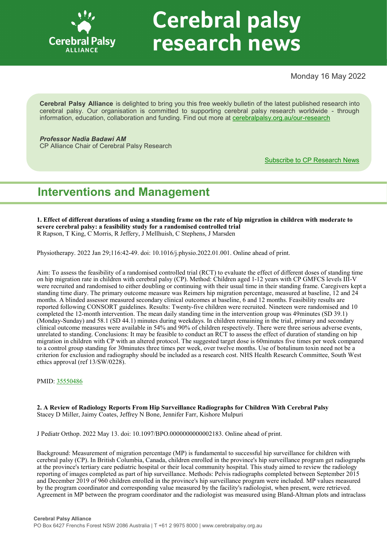

# **Cerebral palsy** research news

Monday 16 May 2022

**Cerebral Palsy Alliance** is delighted to bring you this free weekly bulletin of the latest published research into cerebral palsy. Our organisation is committed to supporting cerebral palsy research worldwide - through information, education, collaboration and funding. Find out more at [cerebralpalsy.org.au/our](https://cerebralpalsy.org.au/our-research/)-research

*Professor Nadia Badawi AM* CP Alliance Chair of Cerebral Palsy Research

[Subscribe to CP Research News](https://cerebralpalsy.org.au/our-research/get-involved-research/cp-research-newsletters/)

## **Interventions and Management**

**1. Effect of different durations of using a standing frame on the rate of hip migration in children with moderate to severe cerebral palsy: a feasibility study for a randomised controlled trial** R Rapson, T King, C Morris, R Jeffery, J Mellhuish, C Stephens, J Marsden

Physiotherapy. 2022 Jan 29;116:42-49. doi: 10.1016/j.physio.2022.01.001. Online ahead of print.

Aim: To assess the feasibility of a randomised controlled trial (RCT) to evaluate the effect of different doses of standing time on hip migration rate in children with cerebral palsy (CP). Method: Children aged 1-12 years with CP GMFCS levels III-V were recruited and randomised to either doubling or continuing with their usual time in their standing frame. Caregivers kept a standing time diary. The primary outcome measure was Reimers hip migration percentage, measured at baseline, 12 and 24 months. A blinded assessor measured secondary clinical outcomes at baseline, 6 and 12 months. Feasibility results are reported following CONSORT guidelines. Results: Twenty-five children were recruited. Nineteen were randomised and 10 completed the 12-month intervention. The mean daily standing time in the intervention group was 49minutes (SD 39.1) (Monday-Sunday) and 58.1 (SD 44.1) minutes during weekdays. In children remaining in the trial, primary and secondary clinical outcome measures were available in 54% and 90% of children respectively. There were three serious adverse events, unrelated to standing. Conclusions: It may be feasible to conduct an RCT to assess the effect of duration of standing on hip migration in children with CP with an altered protocol. The suggested target dose is 60minutes five times per week compared to a control group standing for 30minutes three times per week, over twelve months. Use of botulinum toxin need not be a criterion for exclusion and radiography should be included as a research cost. NHS Health Research Committee, South West ethics approval (ref 13/SW/0228).

PMID: [35550486](https://pubmed.ncbi.nlm.nih.gov/35550486)

**2. A Review of Radiology Reports From Hip Surveillance Radiographs for Children With Cerebral Palsy** Stacey D Miller, Jaimy Coates, Jeffrey N Bone, Jennifer Farr, Kishore Mulpuri

J Pediatr Orthop. 2022 May 13. doi: 10.1097/BPO.0000000000002183. Online ahead of print.

Background: Measurement of migration percentage (MP) is fundamental to successful hip surveillance for children with cerebral palsy (CP). In British Columbia, Canada, children enrolled in the province's hip surveillance program get radiographs at the province's tertiary care pediatric hospital or their local community hospital. This study aimed to review the radiology reporting of images completed as part of hip surveillance. Methods: Pelvis radiographs completed between September 2015 and December 2019 of 960 children enrolled in the province's hip surveillance program were included. MP values measured by the program coordinator and corresponding value measured by the facility's radiologist, when present, were retrieved. Agreement in MP between the program coordinator and the radiologist was measured using Bland-Altman plots and intraclass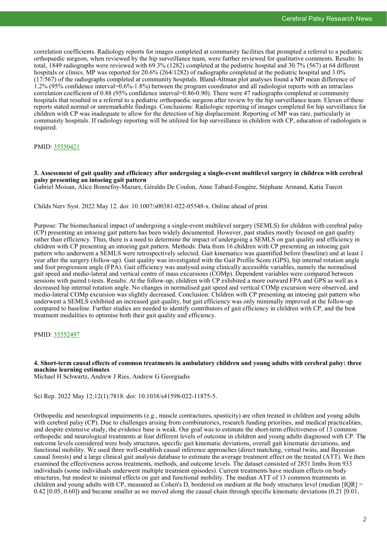correlation coefficients. Radiology reports for images completed at community facilities that prompted a referral to a pediatric orthopaedic surgeon, when reviewed by the hip surveillance team, were further reviewed for qualitative comments. Results: In total, 1849 radiographs were reviewed with 69.3% (1282) completed at the pediatric hospital and 30.7% (567) at 64 different hospitals or clinics. MP was reported for 20.6% (264/1282) of radiographs completed at the pediatric hospital and 3.0% (17/567) of the radiographs completed at community hospitals. Bland-Altman plot analyses found a MP mean difference of 1.2% (95% confidence interval=0.6%-1.8%) between the program coordinator and all radiologist reports with an intraclass correlation coefficient of 0.88 (95% confidence interval=0.86-0.90). There were 47 radiographs completed at community hospitals that resulted in a referral to a pediatric orthopaedic surgeon after review by the hip surveillance team. Eleven of these reports stated normal or unremarkable findings. Conclusions: Radiologic reporting of images completed for hip surveillance for children with CP was inadequate to allow for the detection of hip displacement. Reporting of MP was rare, particularly in community hospitals. If radiology reporting will be utilized for hip surveillance in children with CP, education of radiologists is required.

PMID: [35550421](https://pubmed.ncbi.nlm.nih.gov/35550421)

**3. Assessment of gait quality and efficiency after undergoing a single-event multilevel surgery in children with cerebral palsy presenting an intoeing gait pattern**

Gabriel Moisan, Alice Bonnefoy-Mazure, Géraldo De Coulon, Anne Tabard-Fougère, Stéphane Armand, Katia Turcot

Childs Nerv Syst. 2022 May 12. doi: 10.1007/s00381-022-05548-x. Online ahead of print.

Purpose: The biomechanical impact of undergoing a single-event multilevel surgery (SEMLS) for children with cerebral palsy (CP) presenting an intoeing gait pattern has been widely documented. However, past studies mostly focused on gait quality rather than efficiency. Thus, there is a need to determine the impact of undergoing a SEMLS on gait quality and efficiency in children with CP presenting an intoeing gait pattern. Methods: Data from 16 children with CP presenting an intoeing gait pattern who underwent a SEMLS were retrospectively selected. Gait kinematics was quantified before (baseline) and at least 1 year after the surgery (follow-up). Gait quality was investigated with the Gait Profile Score (GPS), hip internal rotation angle and foot progression angle (FPA). Gait efficiency was analysed using clinically accessible variables, namely the normalised gait speed and medio-lateral and vertical centre of mass excursions (COMp). Dependent variables were compared between sessions with paired t-tests. Results: At the follow-up, children with CP exhibited a more outward FPA and GPS as well as a decreased hip internal rotation angle. No changes in normalised gait speed and vertical COMp excursion were observed, and medio-lateral COMp excursion was slightly decreased. Conclusion: Children with CP presenting an intoeing gait pattern who underwent a SEMLS exhibited an increased gait quality, but gait efficiency was only minimally improved at the follow-up compared to baseline. Further studies are needed to identify contributors of gait efficiency in children with CP, and the best treatment modalities to optimise both their gait quality and efficiency.

PMID: [35552497](https://pubmed.ncbi.nlm.nih.gov/35552497)

#### **4. Short-term causal effects of common treatments in ambulatory children and young adults with cerebral palsy: three machine learning estimates**

Michael H Schwartz, Andrew J Ries, Andrew G Georgiadis

Sci Rep. 2022 May 12;12(1):7818. doi: 10.1038/s41598-022-11875-5.

Orthopedic and neurological impairments (e.g., muscle contractures, spasticity) are often treated in children and young adults with cerebral palsy (CP). Due to challenges arising from combinatorics, research funding priorities, and medical practicalities, and despite extensive study, the evidence base is weak. Our goal was to estimate the short-term effectiveness of 13 common orthopedic and neurological treatments at four different levels of outcome in children and young adults diagnosed with CP. The outcome levels considered were body structures, specific gait kinematic deviations, overall gait kinematic deviations, and functional mobility. We used three well-establish causal inference approaches (direct matching, virtual twins, and Bayesian causal forests) and a large clinical gait analysis database to estimate the average treatment effect on the treated (ATT). We then examined the effectiveness across treatments, methods, and outcome levels. The dataset consisted of 2851 limbs from 933 individuals (some individuals underwent multiple treatment episodes). Current treatments have medium effects on body structures, but modest to minimal effects on gait and functional mobility. The median ATT of 13 common treatments in children and young adults with CP, measured as Cohen's D, bordered on medium at the body structures level (median [IQR] =  $(0.42 \mid 0.05, 0.60]$ ) and became smaller as we moved along the causal chain through specific kinematic deviations  $(0.21 \mid 0.01, 0.01)$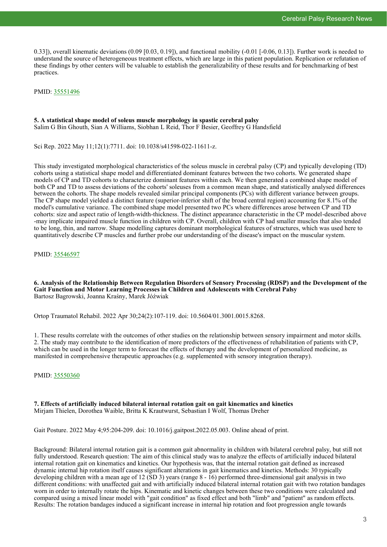0.33]), overall kinematic deviations (0.09 [0.03, 0.19]), and functional mobility (-0.01 [-0.06, 0.13]). Further work is needed to understand the source of heterogeneous treatment effects, which are large in this patient population. Replication or refutation of these findings by other centers will be valuable to establish the generalizability of these results and for benchmarking of best practices.

PMID: [35551496](https://pubmed.ncbi.nlm.nih.gov/35551496)

#### **5. A statistical shape model of soleus muscle morphology in spastic cerebral palsy** Salim G Bin Ghouth, Sian A Williams, Siobhan L Reid, Thor F Besier, Geoffrey G Handsfield

Sci Rep. 2022 May 11;12(1):7711. doi: 10.1038/s41598-022-11611-z.

This study investigated morphological characteristics of the soleus muscle in cerebral palsy (CP) and typically developing (TD) cohorts using a statistical shape model and differentiated dominant features between the two cohorts. We generated shape models of CP and TD cohorts to characterize dominant features within each. We then generated a combined shape model of both CP and TD to assess deviations of the cohorts' soleuses from a common mean shape, and statistically analysed differences between the cohorts. The shape models revealed similar principal components (PCs) with different variance between groups. The CP shape model yielded a distinct feature (superior-inferior shift of the broad central region) accounting for 8.1% of the model's cumulative variance. The combined shape model presented two PCs where differences arose between CP and TD cohorts: size and aspect ratio of length-width-thickness. The distinct appearance characteristic in the CP model-described above -may implicate impaired muscle function in children with CP. Overall, children with CP had smaller muscles that also tended to be long, thin, and narrow. Shape modelling captures dominant morphological features of structures, which was used here to quantitatively describe CP muscles and further probe our understanding of the disease's impact on the muscular system.

PMID: [35546597](https://pubmed.ncbi.nlm.nih.gov/35546597)

**6. Analysis of the Relationship Between Regulation Disorders of Sensory Processing (RDSP) and the Development of the Gait Function and Motor Learning Processes in Children and Adolescents with Cerebral Palsy** Bartosz Bagrowski, Joanna Kraśny, Marek Jóźwiak

Ortop Traumatol Rehabil. 2022 Apr 30;24(2):107-119. doi: 10.5604/01.3001.0015.8268.

1. These results correlate with the outcomes of other studies on the relationship between sensory impairment and motor skills. 2. The study may contribute to the identification of more predictors of the effectiveness of rehabilitation of patients with CP, which can be used in the longer term to forecast the effects of therapy and the development of personalized medicine, as manifested in comprehensive therapeutic approaches (e.g. supplemented with sensory integration therapy).

PMID: [35550360](https://pubmed.ncbi.nlm.nih.gov/35550360)

#### **7. Effects of artificially induced bilateral internal rotation gait on gait kinematics and kinetics** Mirjam Thielen, Dorothea Waible, Britta K Krautwurst, Sebastian I Wolf, Thomas Dreher

Gait Posture. 2022 May 4;95:204-209. doi: 10.1016/j.gaitpost.2022.05.003. Online ahead of print.

Background: Bilateral internal rotation gait is a common gait abnormality in children with bilateral cerebral palsy, but still not fully understood. Research question: The aim of this clinical study was to analyze the effects of artificially induced bilateral internal rotation gait on kinematics and kinetics. Our hypothesis was, that the internal rotation gait defined as increased dynamic internal hip rotation itself causes significant alterations in gait kinematics and kinetics. Methods: 30 typically developing children with a mean age of 12 (SD 3) years (range 8 - 16) performed three-dimensional gait analysis in two different conditions: with unaffected gait and with artificially induced bilateral internal rotation gait with two rotation bandages worn in order to internally rotate the hips. Kinematic and kinetic changes between these two conditions were calculated and compared using a mixed linear model with "gait condition" as fixed effect and both "limb" and "patient" as random effects. Results: The rotation bandages induced a significant increase in internal hip rotation and foot progression angle towards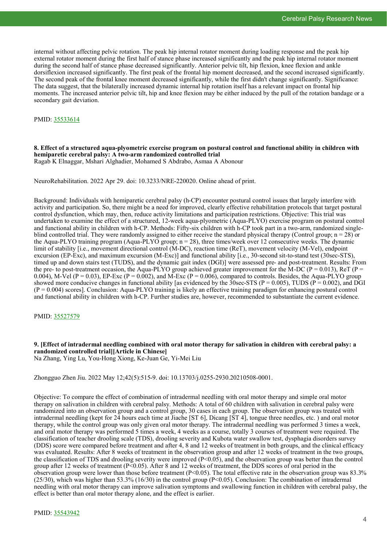internal without affecting pelvic rotation. The peak hip internal rotator moment during loading response and the peak hip external rotator moment during the first half of stance phase increased significantly and the peak hip internal rotator moment during the second half of stance phase decreased significantly. Anterior pelvic tilt, hip flexion, knee flexion and ankle dorsiflexion increased significantly. The first peak of the frontal hip moment decreased, and the second increased significantly. The second peak of the frontal knee moment decreased significantly, while the first didn't change significantly. Significance: The data suggest, that the bilaterally increased dynamic internal hip rotation itself has a relevant impact on frontal hip moments. The increased anterior pelvic tilt, hip and knee flexion may be either induced by the pull of the rotation bandage or a secondary gait deviation.

#### PMID: [35533614](https://pubmed.ncbi.nlm.nih.gov/35533614)

#### **8. Effect of a structured aqua-plyometric exercise program on postural control and functional ability in children with hemiparetic cerebral palsy: A two-arm randomized controlled trial** Ragab K Elnaggar, Mshari Alghadier, Mohamed S Abdrabo, Asmaa A Abonour

NeuroRehabilitation. 2022 Apr 29. doi: 10.3233/NRE-220020. Online ahead of print.

Background: Individuals with hemiparetic cerebral palsy (h-CP) encounter postural control issues that largely interfere with activity and participation. So, there might be a need for improved, clearly effective rehabilitation protocols that target postural control dysfunction, which may, then, reduce activity limitations and participation restrictions. Objective: This trial was undertaken to examine the effect of a structured, 12-week aqua-plyometric (Aqua-PLYO) exercise program on postural control and functional ability in children with h-CP. Methods: Fifty-six children with h-CP took part in a two-arm, randomized singleblind controlled trial. They were randomly assigned to either receive the standard physical therapy (Control group;  $n = 28$ ) or the Aqua-PLYO training program (Aqua-PLYO group; n = 28), three times/week over 12 consecutive weeks. The dynamic limit of stability [i.e., movement directional control (M-DC), reaction time (ReT), movement velocity (M-Vel), endpoint excursion (EP-Exc), and maximum excursion (M-Exc)] and functional ability [i.e., 30-second sit-to-stand test (30sec-STS), timed up and down stairs test (TUDS), and the dynamic gait index (DGI)] were assessed pre- and post-treatment. Results: From the pre- to post-treatment occasion, the Aqua-PLYO group achieved greater improvement for the M-DC ( $P = 0.013$ ), ReT ( $P =$ 0.004), M-Vel (P = 0.03), EP-Exc (P = 0.002), and M-Exc (P = 0.006), compared to controls. Besides, the Aqua-PLYO group showed more conducive changes in functional ability [as evidenced by the  $30$ sec-STS (P = 0.005), TUDS (P = 0.002), and DGI  $(P = 0.004)$  scores]. Conclusion: Aqua-PLYO training is likely an effective training paradigm for enhancing postural control and functional ability in children with h-CP. Further studies are, however, recommended to substantiate the current evidence.

PMID: [35527579](https://pubmed.ncbi.nlm.nih.gov/35527579)

#### **9. [Effect of intradermal needling combined with oral motor therapy for salivation in children with cerebral palsy: a randomized controlled trial][Article in Chinese]** Na Zhang, Ying Lu, You-Hong Xiong, Ke-Juan Ge, Yi-Mei Liu

Zhongguo Zhen Jiu. 2022 May 12;42(5):515-9. doi: 10.13703/j.0255-2930.20210508-0001.

Objective: To compare the effect of combination of intradermal needling with oral motor therapy and simple oral motor therapy on salivation in children with cerebral palsy. Methods: A total of 60 children with salivation in cerebral palsy were randomized into an observation group and a control group, 30 cases in each group. The observation group was treated with intradermal needling (kept for 24 hours each time at Jiache [ST 6], Dicang [ST 4], tongue three needles, etc. ) and oral motor therapy, while the control group was only given oral motor therapy. The intradermal needling was performed 3 times a week, and oral motor therapy was performed 5 times a week, 4 weeks as a course, totally 3 courses of treatment were required. The classification of teacher drooling scale (TDS), drooling severity and Kubota water swallow test, dysphagia disorders survey (DDS) score were compared before treatment and after 4, 8 and 12 weeks of treatment in both groups, and the clinical efficacy was evaluated. Results: After 8 weeks of treatment in the observation group and after 12 weeks of treatment in the two groups, the classification of TDS and drooling severity were improved  $(P<0.05)$ , and the observation group was better than the control group after 12 weeks of treatment ( $P<0.05$ ). After 8 and 12 weeks of treatment, the DDS scores of oral period in the observation group were lower than those before treatment  $(P<0.05)$ . The total effective rate in the observation group was 83.3% (25/30), which was higher than 53.3% (16/30) in the control group (P<0.05). Conclusion: The combination of intradermal needling with oral motor therapy can improve salivation symptoms and swallowing function in children with cerebral palsy, the effect is better than oral motor therapy alone, and the effect is earlier.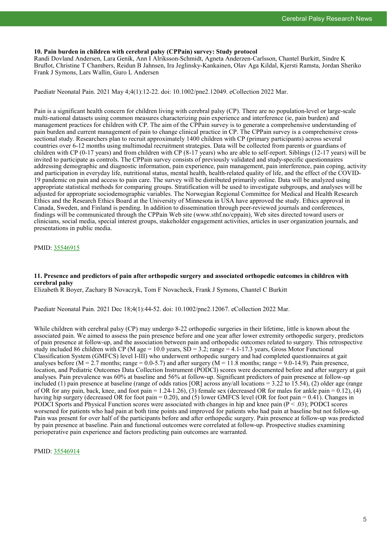#### **10. Pain burden in children with cerebral palsy (CPPain) survey: Study protocol**

Randi Dovland Andersen, Lara Genik, Ann I Alriksson-Schmidt, Agneta Anderzen-Carlsson, Chantel Burkitt, Sindre K Bruflot, Christine T Chambers, Reidun B Jahnsen, Ira Jeglinsky-Kankainen, Olav Aga Kildal, Kjersti Ramsta, Jordan Sheriko Frank J Symons, Lars Wallin, Guro L Andersen

Paediatr Neonatal Pain. 2021 May 4;4(1):12-22. doi: 10.1002/pne2.12049. eCollection 2022 Mar.

Pain is a significant health concern for children living with cerebral palsy (CP). There are no population-level or large-scale multi-national datasets using common measures characterizing pain experience and interference (ie, pain burden) and management practices for children with CP. The aim of the CPPain survey is to generate a comprehensive understanding of pain burden and current management of pain to change clinical practice in CP. The CPPain survey is a comprehensive crosssectional study. Researchers plan to recruit approximately 1400 children with CP (primary participants) across several countries over 6-12 months using multimodal recruitment strategies. Data will be collected from parents or guardians of children with CP (0-17 years) and from children with CP (8-17 years) who are able to self-report. Siblings (12-17 years) will be invited to participate as controls. The CPPain survey consists of previously validated and study-specific questionnaires addressing demographic and diagnostic information, pain experience, pain management, pain interference, pain coping, activity and participation in everyday life, nutritional status, mental health, health-related quality of life, and the effect of the COVID-19 pandemic on pain and access to pain care. The survey will be distributed primarily online. Data will be analyzed using appropriate statistical methods for comparing groups. Stratification will be used to investigate subgroups, and analyses will be adjusted for appropriate sociodemographic variables. The Norwegian Regional Committee for Medical and Health Research Ethics and the Research Ethics Board at the University of Minnesota in USA have approved the study. Ethics approval in Canada, Sweden, and Finland is pending. In addition to dissemination through peer-reviewed journals and conferences, findings will be communicated through the CPPain Web site (www.sthf.no/cppain), Web sites directed toward users or clinicians, social media, special interest groups, stakeholder engagement activities, articles in user organization journals, and presentations in public media.

PMID: [35546915](https://pubmed.ncbi.nlm.nih.gov/35546915)

#### **11. Presence and predictors of pain after orthopedic surgery and associated orthopedic outcomes in children with cerebral palsy**

Elizabeth R Boyer, Zachary B Novaczyk, Tom F Novacheck, Frank J Symons, Chantel C Burkitt

Paediatr Neonatal Pain. 2021 Dec 18;4(1):44-52. doi: 10.1002/pne2.12067. eCollection 2022 Mar.

While children with cerebral palsy (CP) may undergo 8-22 orthopedic surgeries in their lifetime, little is known about the associated pain. We aimed to assess the pain presence before and one year after lower extremity orthopedic surgery, predictors of pain presence at follow-up, and the association between pain and orthopedic outcomes related to surgery. This retrospective study included 86 children with CP (M age = 10.0 years,  $SD = 3.2$ ; range = 4.1-17.3 years, Gross Motor Functional Classification System (GMFCS) level I-III) who underwent orthopedic surgery and had completed questionnaires at gait analyses before ( $M = 2.7$  months; range = 0.0-5.7) and after surgery ( $M = 11.8$  months; range = 9.0-14.9). Pain presence, location, and Pediatric Outcomes Data Collection Instrument (PODCI) scores were documented before and after surgery at gait analyses. Pain prevalence was 60% at baseline and 56% at follow-up. Significant predictors of pain presence at follow-up included (1) pain presence at baseline (range of odds ratios [OR] across any/all locations = 3.22 to 15.54), (2) older age (range of OR for any pain, back, knee, and foot pain = 1.24-1.26), (3) female sex (decreased OR for males for ankle pain = 0.12), (4) having hip surgery (decreased OR for foot pain = 0.20), and (5) lower GMFCS level (OR for foot pain = 0.41). Changes in PODCI Sports and Physical Function scores were associated with changes in hip and knee pain  $(P < .03)$ ; PODCI scores worsened for patients who had pain at both time points and improved for patients who had pain at baseline but not follow-up. Pain was present for over half of the participants before and after orthopedic surgery. Pain presence at follow-up was predicted by pain presence at baseline. Pain and functional outcomes were correlated at follow-up. Prospective studies examining perioperative pain experience and factors predicting pain outcomes are warranted.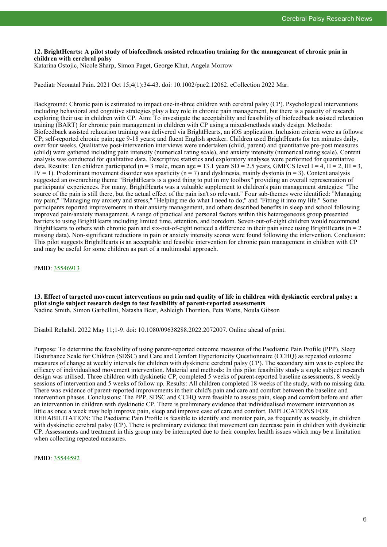#### **12. BrightHearts: A pilot study of biofeedback assisted relaxation training for the management of chronic pain in children with cerebral palsy**

Katarina Ostojic, Nicole Sharp, Simon Paget, George Khut, Angela Morrow

Paediatr Neonatal Pain. 2021 Oct 15;4(1):34-43. doi: 10.1002/pne2.12062. eCollection 2022 Mar.

Background: Chronic pain is estimated to impact one-in-three children with cerebral palsy (CP). Psychological interventions including behavioral and cognitive strategies play a key role in chronic pain management, but there is a paucity of research exploring their use in children with CP. Aim: To investigate the acceptability and feasibility of biofeedback assisted relaxation training (BART) for chronic pain management in children with CP using a mixed-methods study design. Methods: Biofeedback assisted relaxation training was delivered via BrightHearts, an iOS application. Inclusion criteria were as follows: CP; self-reported chronic pain; age 9-18 years; and fluent English speaker. Children used BrightHearts for ten minutes daily, over four weeks. Qualitative post-intervention interviews were undertaken (child, parent) and quantitative pre-post measures (child) were gathered including pain intensity (numerical rating scale), and anxiety intensity (numerical rating scale). Content analysis was conducted for qualitative data. Descriptive statistics and exploratory analyses were performed for quantitative data. Results: Ten children participated (n = 3 male, mean age = 13.1 years SD = 2.5 years, GMFCS level I = 4,  $II = 2$ ,  $III = 3$ , IV = 1). Predominant movement disorder was spasticity ( $n = 7$ ) and dyskinesia, mainly dystonia ( $n = 3$ ). Content analysis suggested an overarching theme "BrightHearts is a good thing to put in my toolbox" providing an overall representation of participants' experiences. For many, BrightHearts was a valuable supplement to children's pain management strategies: "The source of the pain is still there, but the actual effect of the pain isn't so relevant." Four sub-themes were identified: "Managing my pain;" "Managing my anxiety and stress," "Helping me do what I need to do;" and "Fitting it into my life." Some participants reported improvements in their anxiety management, and others described benefits in sleep and school following improved pain/anxiety management. A range of practical and personal factors within this heterogeneous group presented barriers to using BrightHearts including limited time, attention, and boredom. Seven-out-of-eight children would recommend BrightHearts to others with chronic pain and six-out-of-eight noticed a difference in their pain since using BrightHearts (n = 2) missing data). Non-significant reductions in pain or anxiety intensity scores were found following the intervention. Conclusion: This pilot suggests BrightHearts is an acceptable and feasible intervention for chronic pain management in children with CP and may be useful for some children as part of a multimodal approach.

PMID: [35546913](https://pubmed.ncbi.nlm.nih.gov/35546913)

**13. Effect of targeted movement interventions on pain and quality of life in children with dyskinetic cerebral palsy: a pilot single subject research design to test feasibility of parent-reported assessments** Nadine Smith, Simon Garbellini, Natasha Bear, Ashleigh Thornton, Peta Watts, Noula Gibson

Disabil Rehabil. 2022 May 11;1-9. doi: 10.1080/09638288.2022.2072007. Online ahead of print.

Purpose: To determine the feasibility of using parent-reported outcome measures of the Paediatric Pain Profile (PPP), Sleep Disturbance Scale for Children (SDSC) and Care and Comfort Hypertonicity Questionnaire (CCHQ) as repeated outcome measures of change at weekly intervals for children with dyskinetic cerebral palsy (CP). The secondary aim was to explore the efficacy of individualised movement intervention. Material and methods: In this pilot feasibility study a single subject research design was utilised. Three children with dyskinetic CP, completed 5 weeks of parent-reported baseline assessments, 8 weekly sessions of intervention and 5 weeks of follow up. Results: All children completed 18 weeks of the study, with no missing data. There was evidence of parent-reported improvements in their child's pain and care and comfort between the baseline and intervention phases. Conclusions: The PPP, SDSC and CCHQ were feasible to assess pain, sleep and comfort before and after an intervention in children with dyskinetic CP. There is preliminary evidence that individualised movement intervention as little as once a week may help improve pain, sleep and improve ease of care and comfort. IMPLICATIONS FOR REHABILITATION: The Paediatric Pain Profile is feasible to identify and monitor pain, as frequently as weekly, in children with dyskinetic cerebral palsy (CP). There is preliminary evidence that movement can decrease pain in children with dyskinetic CP. Assessments and treatment in this group may be interrupted due to their complex health issues which may be a limitation when collecting repeated measures.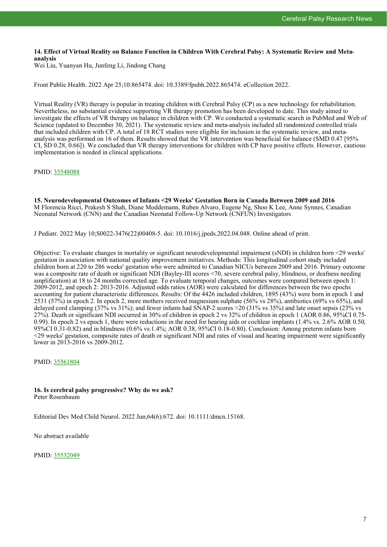#### **14. Effect of Virtual Reality on Balance Function in Children With Cerebral Palsy: A Systematic Review and Metaanalysis**

Wei Liu, Yuanyan Hu, Junfeng Li, Jindong Chang

Front Public Health. 2022 Apr 25;10:865474. doi: 10.3389/fpubh.2022.865474. eCollection 2022.

Virtual Reality (VR) therapy is popular in treating children with Cerebral Palsy (CP) as a new technology for rehabilitation. Nevertheless, no substantial evidence supporting VR therapy promotion has been developed to date. This study aimed to investigate the effects of VR therapy on balance in children with CP. We conducted a systematic search in PubMed and Web of Science (updated to December 30, 2021). The systematic review and meta-analysis included all randomized controlled trials that included children with CP. A total of 18 RCT studies were eligible for inclusion in the systematic review, and metaanalysis was performed on 16 of them. Results showed that the VR intervention was beneficial for balance (SMD 0.47 [95% CI, SD 0.28, 0.66]). We concluded that VR therapy interventions for children with CP have positive effects. However, cautious implementation is needed in clinical applications.

PMID: [35548088](https://pubmed.ncbi.nlm.nih.gov/35548088)

**15. Neurodevelopmental Outcomes of Infants <29 Weeks' Gestation Born in Canada Between 2009 and 2016** M Florencia Ricci, Prakesh S Shah, Diane Moddemann, Ruben Alvaro, Eugene Ng, Shoo K Lee, Anne Synnes, Canadian Neonatal Network (CNN) and the Canadian Neonatal Follow-Up Network (CNFUN) Investigators

J Pediatr. 2022 May 10;S0022-3476(22)00408-5. doi: 10.1016/j.jpeds.2022.04.048. Online ahead of print.

Objective: To evaluate changes in mortality or significant neurodevelopmental impairment (sNDI) in children born <29 weeks' gestation in association with national quality improvement initiatives. Methods: This longitudinal cohort study included children born at 220 to 286 weeks' gestation who were admitted to Canadian NICUs between 2009 and 2016. Primary outcome was a composite rate of death or significant NDI (Bayley-III scores <70, severe cerebral palsy, blindness, or deafness needing amplification) at 18 to 24 months corrected age. To evaluate temporal changes, outcomes were compared between epoch 1: 2009-2012, and epoch 2: 2013-2016. Adjusted odds ratios (AOR) were calculated for differences between the two epochs accounting for patient characteristic differences. Results: Of the 4426 included children, 1895 (43%) were born in epoch 1 and 2531 (57%) in epoch 2. In epoch 2, more mothers received magnesium sulphate (56% vs 28%), antibiotics (69% vs 65%), and delayed cord clamping (37% vs 31%); and fewer infants had SNAP-2 scores >20 (31% vs 35%) and late onset sepsis (23% vs 27%). Death or significant NDI occurred in 30% of children in epoch 2 vs 32% of children in epoch 1 (AOR 0.86, 95%CI 0.75- 0.99). In epoch 2 vs epoch 1, there were reductions in the need for hearing aids or cochlear implants (1.4% vs. 2.6% AOR 0.50, 95%CI 0.31-0.82) and in blindness (0.6% vs.1.4%; AOR 0.38, 95%CI 0.18-0.80). Conclusion: Among preterm infants born <29 weeks' gestation, composite rates of death or significant NDI and rates of visual and hearing impairment were significantly lower in 2013-2016 vs 2009-2012.

PMID: [35561804](https://pubmed.ncbi.nlm.nih.gov/35561804)

**16. Is cerebral palsy progressive? Why do we ask?** Peter Rosenbaum

Editorial Dev Med Child Neurol. 2022 Jun;64(6):672. doi: 10.1111/dmcn.15168.

No abstract available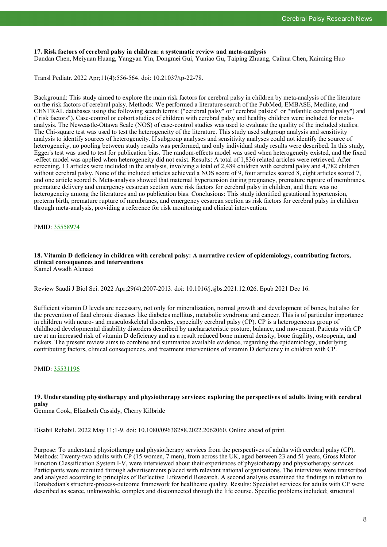#### **17. Risk factors of cerebral palsy in children: a systematic review and meta-analysis**

Dandan Chen, Meiyuan Huang, Yangyan Yin, Dongmei Gui, Yuniao Gu, Taiping Zhuang, Caihua Chen, Kaiming Huo

Transl Pediatr. 2022 Apr;11(4):556-564. doi: 10.21037/tp-22-78.

Background: This study aimed to explore the main risk factors for cerebral palsy in children by meta-analysis of the literature on the risk factors of cerebral palsy. Methods: We performed a literature search of the PubMed, EMBASE, Medline, and CENTRAL databases using the following search terms: ("cerebral palsy" or "cerebral palsies" or "infantile cerebral palsy") and ("risk factors"). Case-control or cohort studies of children with cerebral palsy and healthy children were included for metaanalysis. The Newcastle-Ottawa Scale (NOS) of case-control studies was used to evaluate the quality of the included studies. The Chi-square test was used to test the heterogeneity of the literature. This study used subgroup analysis and sensitivity analysis to identify sources of heterogeneity. If subgroup analyses and sensitivity analyses could not identify the source of heterogeneity, no pooling between study results was performed, and only individual study results were described. In this study, Egger's test was used to test for publication bias. The random-effects model was used when heterogeneity existed, and the fixed -effect model was applied when heterogeneity did not exist. Results: A total of 1,836 related articles were retrieved. After screening, 13 articles were included in the analysis, involving a total of 2,489 children with cerebral palsy and 4,782 children without cerebral palsy. None of the included articles achieved a NOS score of 9, four articles scored 8, eight articles scored 7, and one article scored 6. Meta-analysis showed that maternal hypertension during pregnancy, premature rupture of membranes, premature delivery and emergency cesarean section were risk factors for cerebral palsy in children, and there was no heterogeneity among the literatures and no publication bias. Conclusions: This study identified gestational hypertension, preterm birth, premature rupture of membranes, and emergency cesarean section as risk factors for cerebral palsy in children through meta-analysis, providing a reference for risk monitoring and clinical intervention.

PMID: [35558974](https://pubmed.ncbi.nlm.nih.gov/35558974)

### **18. Vitamin D deficiency in children with cerebral palsy: A narrative review of epidemiology, contributing factors, clinical consequences and interventions**

Kamel Awadh Alenazi

Review Saudi J Biol Sci. 2022 Apr;29(4):2007-2013. doi: 10.1016/j.sjbs.2021.12.026. Epub 2021 Dec 16.

Sufficient vitamin D levels are necessary, not only for mineralization, normal growth and development of bones, but also for the prevention of fatal chronic diseases like diabetes mellitus, metabolic syndrome and cancer. This is of particular importance in children with neuro- and musculoskeletal disorders, especially cerebral palsy (CP). CP is a heterogeneous group of childhood developmental disability disorders described by uncharacteristic posture, balance, and movement. Patients with CP are at an increased risk of vitamin D deficiency and as a result reduced bone mineral density, bone fragility, osteopenia, and rickets. The present review aims to combine and summarize available evidence, regarding the epidemiology, underlying contributing factors, clinical consequences, and treatment interventions of vitamin D deficiency in children with CP.

#### PMID: [35531196](https://pubmed.ncbi.nlm.nih.gov/35531196)

#### **19. Understanding physiotherapy and physiotherapy services: exploring the perspectives of adults living with cerebral palsy**

Gemma Cook, Elizabeth Cassidy, Cherry Kilbride

Disabil Rehabil. 2022 May 11;1-9. doi: 10.1080/09638288.2022.2062060. Online ahead of print.

Purpose: To understand physiotherapy and physiotherapy services from the perspectives of adults with cerebral palsy (CP). Methods: Twenty-two adults with CP (15 women, 7 men), from across the UK, aged between 23 and 51 years, Gross Motor Function Classification System I-V, were interviewed about their experiences of physiotherapy and physiotherapy services. Participants were recruited through advertisements placed with relevant national organisations. The interviews were transcribed and analysed according to principles of Reflective Lifeworld Research. A second analysis examined the findings in relation to Donabedian's structure-process-outcome framework for healthcare quality. Results: Specialist services for adults with CP were described as scarce, unknowable, complex and disconnected through the life course. Specific problems included; structural